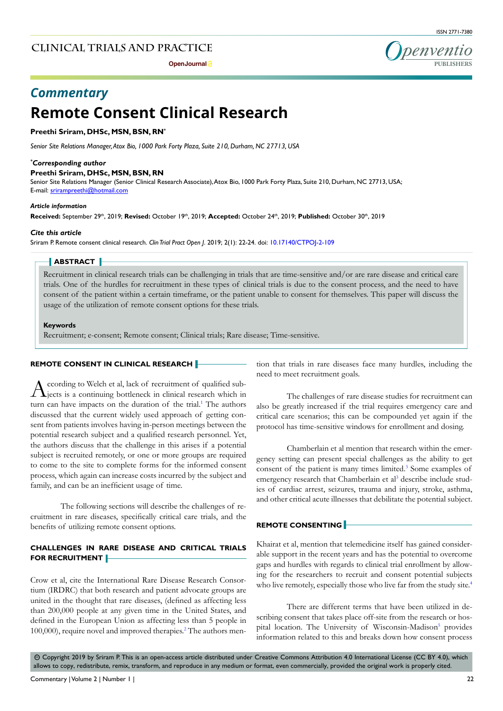## **Clinical trials and practice**





# *Commentary*

# **Remote Consent Clinical Research**

## **Preethi Sriram, DHSc, MSN, BSN, RN\***

*Senior Site Relations Manager, Atox Bio, 1000 Park Forty Plaza, Suite 210, Durham, NC 27713, USA*

#### *\* Corresponding author*

#### **Preethi Sriram, DHSc, MSN, BSN, RN**

Senior Site Relations Manager (Senior Clinical Research Associate), Atox Bio, 1000 Park Forty Plaza, Suite 210, Durham, NC 27713, USA; E-mail: srirampreethi@hotmail.com

#### *Article information*

**Received:** September 29th, 2019; **Revised:** October 19th, 2019; **Accepted:** October 24th, 2019; **Published:** October 30th, 2019

#### *Cite this article*

Sriram P. Remote consent clinical research. *Clin Trial Pract Open J*. 2019; 2(1): 22-24. doi: [10.17140/CTPOJ-2-109](http://dx.doi.org/10.17140/CTPOJ-2-109)

#### **ABSTRACT**

Recruitment in clinical research trials can be challenging in trials that are time-sensitive and/or are rare disease and critical care trials. One of the hurdles for recruitment in these types of clinical trials is due to the consent process, and the need to have consent of the patient within a certain timeframe, or the patient unable to consent for themselves. This paper will discuss the usage of the utilization of remote consent options for these trials.

**Keywords**

Recruitment; e-consent; Remote consent; Clinical trials; Rare disease; Time-sensitive.

### **REMOTE CONSENT IN CLINICAL RESEARCH**

According to Welch et al, lack of recruitment of qualified sub-<br>jects is a continuing bottleneck in clinical research which in turn can have impacts on the duration of the trial.<sup>[1](#page-2-0)</sup> The authors discussed that the current widely used approach of getting consent from patients involves having in-person meetings between the potential research subject and a qualified research personnel. Yet, the authors discuss that the challenge in this arises if a potential subject is recruited remotely, or one or more groups are required to come to the site to complete forms for the informed consent process, which again can increase costs incurred by the subject and family, and can be an inefficient usage of time.

The following sections will describe the challenges of recruitment in rare diseases, specifically critical care trials, and the benefits of utilizing remote consent options.

## **CHALLENGES IN RARE DISEASE AND CRITICAL TRIALS FOR RECRUITMENT**

Crow et al, cite the International Rare Disease Research Consortium (IRDRC) that both research and patient advocate groups are united in the thought that rare diseases, (defined as affecting less than 200,000 people at any given time in the United States, and defined in the European Union as affecting less than 5 people in 100,000), require novel and improved therapies.<sup>[2](#page-2-1)</sup> The authors mention that trials in rare diseases face many hurdles, including the need to meet recruitment goals.

The challenges of rare disease studies for recruitment can also be greatly increased if the trial requires emergency care and critical care scenarios; this can be compounded yet again if the protocol has time-sensitive windows for enrollment and dosing.

Chamberlain et al mention that research within the emergency setting can present special challenges as the ability to get consent of the patient is many times limited.<sup>3</sup> Some examples of emergency research that Chamberlain et al<sup>[3](#page-2-2)</sup> describe include studies of cardiac arrest, seizures, trauma and injury, stroke, asthma, and other critical acute illnesses that debilitate the potential subject.

## **REMOTE CONSENTING**

Khairat et al, mention that telemedicine itself has gained considerable support in the recent years and has the potential to overcome gaps and hurdles with regards to clinical trial enrollment by allowing for the researchers to recruit and consent potential subjects who live remotely, especially those who live far from the study site.<sup>4</sup>

There are different terms that have been utilized in describing consent that takes place off-site from the research or hos-pital location. The University of Wisconsin-Madison<sup>[5](#page-2-4)</sup> provides information related to this and breaks down how consent process

 $\circledcirc$  Copyright 2019 by Sriram P. This is an open-access article distributed under Creative Commons Attribution 4.0 International License (CC BY 4.0), which allows to copy, redistribute, remix, transform, and reproduce in any medium or format, even commercially, provided the original work is properly cited.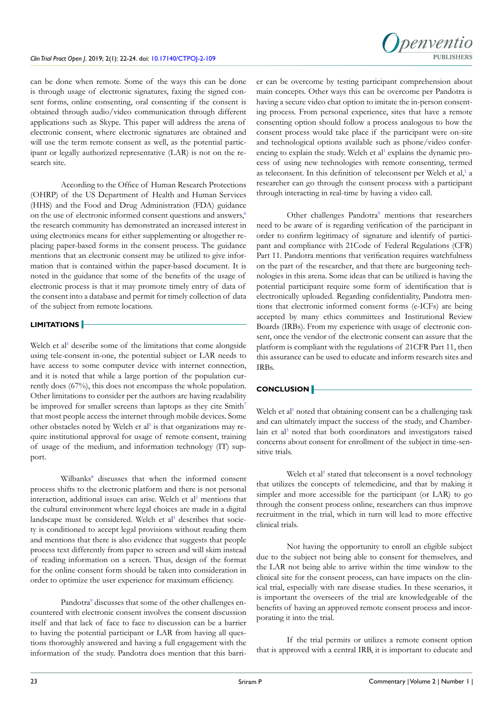

can be done when remote. Some of the ways this can be done is through usage of electronic signatures, faxing the signed consent forms, online consenting, oral consenting if the consent is obtained through audio/video communication through different applications such as Skype. This paper will address the arena of electronic consent, where electronic signatures are obtained and will use the term remote consent as well, as the potential participant or legally authorized representative (LAR) is not on the research site.

According to the Office of Human Research Protections (OHRP) of the US Department of Health and Human Services (HHS) and the Food and Drug Administration (FDA) guidance on the use of electronic informed consent questions and answers,<sup>[6](#page-2-5)</sup> the research community has demonstrated an increased interest in using electronics means for either supplementing or altogether replacing paper-based forms in the consent process. The guidance mentions that an electronic consent may be utilized to give information that is contained within the paper-based document. It is noted in the guidance that some of the benefits of the usage of electronic process is that it may promote timely entry of data of the consent into a database and permit for timely collection of data of the subject from remote locations.

## **LIMITATIONS**

Welch et al<sup>[1](#page-2-0)</sup> describe some of the limitations that come alongside using tele-consent in-one, the potential subject or LAR needs to have access to some computer device with internet connection, and it is noted that while a large portion of the population currently does (67%), this does not encompass the whole population. Other limitations to consider per the authors are having readability be improved for smaller screens than laptops as they cite Smith<sup>[7](#page-2-6)</sup> that most people access the internet through mobile devices. Some other obstacles noted by Welch et al<sup>1</sup> is that organizations may require institutional approval for usage of remote consent, training of usage of the medium, and information technology (IT) support.

Wilbanks<sup>8</sup> discusses that when the informed consent process shifts to the electronic platform and there is not personal interaction, additional issues can arise. Welch et al<sup>[1](#page-2-0)</sup> mentions that the cultural environment where legal choices are made in a digital landscape must be considered. Welch et al<sup>[1](#page-2-0)</sup> describes that society is conditioned to accept legal provisions without reading them and mentions that there is also evidence that suggests that people process text differently from paper to screen and will skim instead of reading information on a screen. Thus, design of the format for the online consent form should be taken into consideration in order to optimize the user experience for maximum efficiency.

Pandotra<sup>[9](#page-2-8)</sup> discusses that some of the other challenges encountered with electronic consent involves the consent discussion itself and that lack of face to face to discussion can be a barrier to having the potential participant or LAR from having all questions thoroughly answered and having a full engagement with the information of the study. Pandotra does mention that this barrier can be overcome by testing participant comprehension about main concepts. Other ways this can be overcome per Pandotra is having a secure video chat option to imitate the in-person consenting process. From personal experience, sites that have a remote consenting option should follow a process analogous to how the consent process would take place if the participant were on-site and technological options available such as phone/video confer-encing to explain the study. Welch et al<sup>[1](#page-2-0)</sup> explains the dynamic process of using new technologies with remote consenting, termed as teleconsent. In this definition of teleconsent per Welch et al,<sup>[1](#page-2-0)</sup> a researcher can go through the consent process with a participant through interacting in real-time by having a video call.

Other challenges Pandotra<sup>[9](#page-2-8)</sup> mentions that researchers need to be aware of is regarding verification of the participant in order to confirm legitimacy of signature and identify of participant and compliance with 21Code of Federal Regulations (CFR) Part 11. Pandotra mentions that verification requires watchfulness on the part of the researcher, and that there are burgeoning technologies in this arena. Some ideas that can be utilized is having the potential participant require some form of identification that is electronically uploaded. Regarding confidentiality, Pandotra mentions that electronic informed consent forms (e-ICFs) are being accepted by many ethics committees and Institutional Review Boards (IRBs). From my experience with usage of electronic consent, once the vendor of the electronic consent can assure that the platform is compliant with the regulations of 21CFR Part 11, then this assurance can be used to educate and inform research sites and IRBs.

## **CONCLUSION**

Welch et al<sup>[1](#page-2-0)</sup> noted that obtaining consent can be a challenging task and can ultimately impact the success of the study, and Chamber-lain et al<sup>[3](#page-2-2)</sup> noted that both coordinators and investigators raised concerns about consent for enrollment of the subject in time-sensitive trials.

Welch et al<sup>1</sup> stated that teleconsent is a novel technology that utilizes the concepts of telemedicine, and that by making it simpler and more accessible for the participant (or LAR) to go through the consent process online, researchers can thus improve recruitment in the trial, which in turn will lead to more effective clinical trials.

Not having the opportunity to enroll an eligible subject due to the subject not being able to consent for themselves, and the LAR not being able to arrive within the time window to the clinical site for the consent process, can have impacts on the clinical trial, especially with rare disease studies. In these scenarios, it is important the overseers of the trial are knowledgeable of the benefits of having an approved remote consent process and incorporating it into the trial.

If the trial permits or utilizes a remote consent option that is approved with a central IRB, it is important to educate and